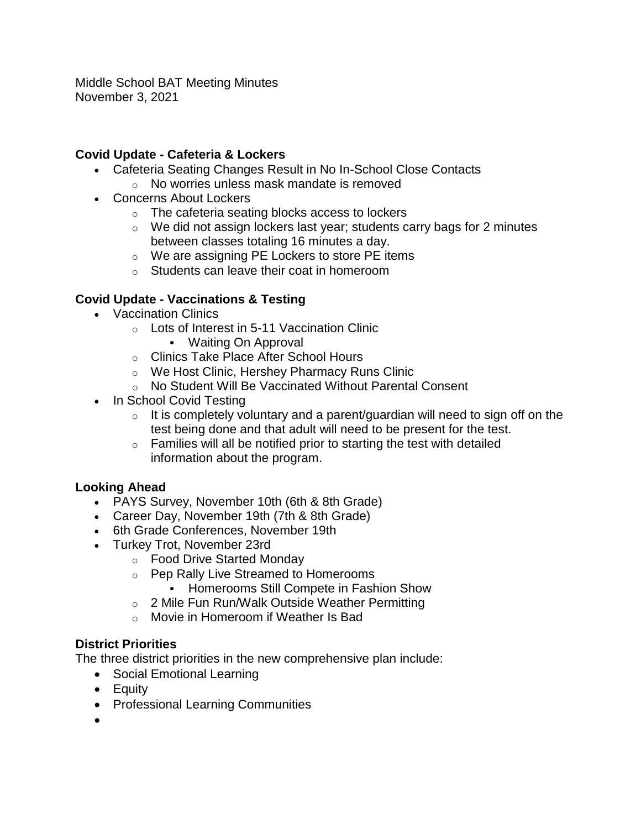Middle School BAT Meeting Minutes November 3, 2021

#### **Covid Update - Cafeteria & Lockers**

- Cafeteria Seating Changes Result in No In-School Close Contacts
	- o No worries unless mask mandate is removed
- Concerns About Lockers
	- o The cafeteria seating blocks access to lockers
	- $\circ$  We did not assign lockers last year; students carry bags for 2 minutes between classes totaling 16 minutes a day.
	- o We are assigning PE Lockers to store PE items
	- o Students can leave their coat in homeroom

# **Covid Update - Vaccinations & Testing**

- Vaccination Clinics
	- o Lots of Interest in 5-11 Vaccination Clinic Waiting On Approval
	- o Clinics Take Place After School Hours
	- o We Host Clinic, Hershey Pharmacy Runs Clinic
	- o No Student Will Be Vaccinated Without Parental Consent
- In School Covid Testing
	- $\circ$  It is completely voluntary and a parent/guardian will need to sign off on the test being done and that adult will need to be present for the test.
	- $\circ$  Families will all be notified prior to starting the test with detailed information about the program.

#### **Looking Ahead**

- PAYS Survey, November 10th (6th & 8th Grade)
- Career Day, November 19th (7th & 8th Grade)
- 6th Grade Conferences, November 19th
- Turkey Trot, November 23rd
	- o Food Drive Started Monday
	- o Pep Rally Live Streamed to Homerooms
		- **Homerooms Still Compete in Fashion Show**
	- o 2 Mile Fun Run/Walk Outside Weather Permitting
	- o Movie in Homeroom if Weather Is Bad

# **District Priorities**

The three district priorities in the new comprehensive plan include:

- Social Emotional Learning
- Equity
- Professional Learning Communities
- $\bullet$